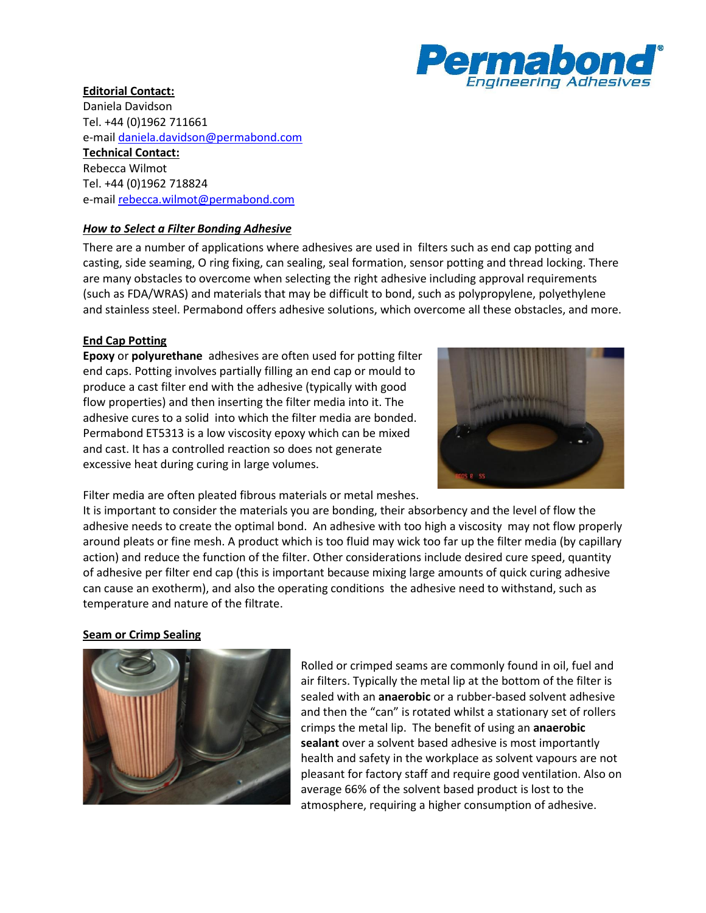

# **Editorial Contact:**

Daniela Davidson Tel. +44 (0)1962 711661 e-mai[l daniela.davidson@permabond.com](mailto:daniela.davidson@permabond.com) **Technical Contact:** Rebecca Wilmot Tel. +44 (0)1962 718824 e-mai[l rebecca.wilmot@permabond.com](mailto:rebecca.wilmot@permabond.com)

## *How to Select a Filter Bonding Adhesive*

There are a number of applications where adhesives are used in filters such as end cap potting and casting, side seaming, O ring fixing, can sealing, seal formation, sensor potting and thread locking. There are many obstacles to overcome when selecting the right adhesive including approval requirements (such as FDA/WRAS) and materials that may be difficult to bond, such as polypropylene, polyethylene and stainless steel. Permabond offers adhesive solutions, which overcome all these obstacles, and more.

## **End Cap Potting**

**Epoxy** or **polyurethane** adhesives are often used for potting filter end caps. Potting involves partially filling an end cap or mould to produce a cast filter end with the adhesive (typically with good flow properties) and then inserting the filter media into it. The adhesive cures to a solid into which the filter media are bonded. Permabond ET5313 is a low viscosity epoxy which can be mixed and cast. It has a controlled reaction so does not generate excessive heat during curing in large volumes.



Filter media are often pleated fibrous materials or metal meshes.

It is important to consider the materials you are bonding, their absorbency and the level of flow the adhesive needs to create the optimal bond. An adhesive with too high a viscosity may not flow properly around pleats or fine mesh. A product which is too fluid may wick too far up the filter media (by capillary action) and reduce the function of the filter. Other considerations include desired cure speed, quantity of adhesive per filter end cap (this is important because mixing large amounts of quick curing adhesive can cause an exotherm), and also the operating conditions the adhesive need to withstand, such as temperature and nature of the filtrate.

### **Seam or Crimp Sealing**



Rolled or crimped seams are commonly found in oil, fuel and air filters. Typically the metal lip at the bottom of the filter is sealed with an **anaerobic** or a rubber-based solvent adhesive and then the "can" is rotated whilst a stationary set of rollers crimps the metal lip. The benefit of using an **anaerobic sealant** over a solvent based adhesive is most importantly health and safety in the workplace as solvent vapours are not pleasant for factory staff and require good ventilation. Also on average 66% of the solvent based product is lost to the atmosphere, requiring a higher consumption of adhesive.